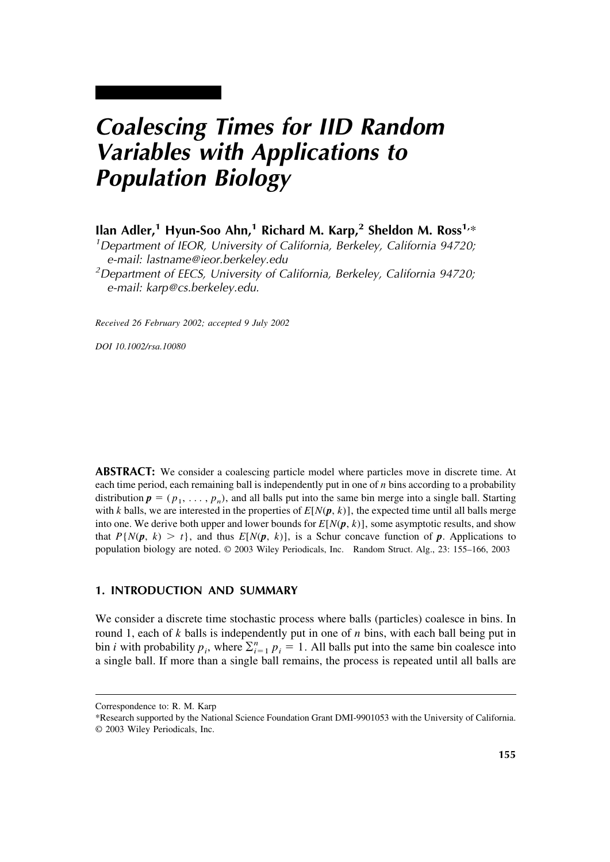# *Coalescing Times for IID Random Variables with Applications to Population Biology*

**Ilan Adler,<sup>1</sup> Hyun-Soo Ahn,<sup>1</sup> Richard M. Karp,<sup>2</sup> Sheldon M. Ross<sup>1,\*</sup>** 

<sup>1</sup>Department of IEOR, University of California, Berkeley, California 94720; e-mail: lastname@ieor.berkeley.edu <sup>2</sup>

<sup>2</sup>Department of EECS, University of California, Berkeley, California 94720; e-mail: karp@cs.berkeley.edu.

*Received 26 February 2002; accepted 9 July 2002*

*DOI 10.1002/rsa.10080*

ABSTRACT: We consider a coalescing particle model where particles move in discrete time. At each time period, each remaining ball is independently put in one of *n* bins according to a probability distribution  $p = (p_1, \ldots, p_n)$ , and all balls put into the same bin merge into a single ball. Starting with *k* balls, we are interested in the properties of  $E[N(\mathbf{p}, k)]$ , the expected time until all balls merge into one. We derive both upper and lower bounds for  $E[N(p, k)]$ , some asymptotic results, and show that  $P\{N(\mathbf{p}, k) > t\}$ , and thus  $E[N(\mathbf{p}, k)]$ , is a Schur concave function of  $\mathbf{p}$ . Applications to population biology are noted. © 2003 Wiley Periodicals, Inc. Random Struct. Alg., 23: 155–166, 2003

# **1. INTRODUCTION AND SUMMARY**

We consider a discrete time stochastic process where balls (particles) coalesce in bins. In round 1, each of *k* balls is independently put in one of *n* bins, with each ball being put in bin *i* with probability  $p_i$ , where  $\sum_{i=1}^n p_i = 1$ . All balls put into the same bin coalesce into a single ball. If more than a single ball remains, the process is repeated until all balls are

Correspondence to: R. M. Karp

<sup>\*</sup>Research supported by the National Science Foundation Grant DMI-9901053 with the University of California. © 2003 Wiley Periodicals, Inc.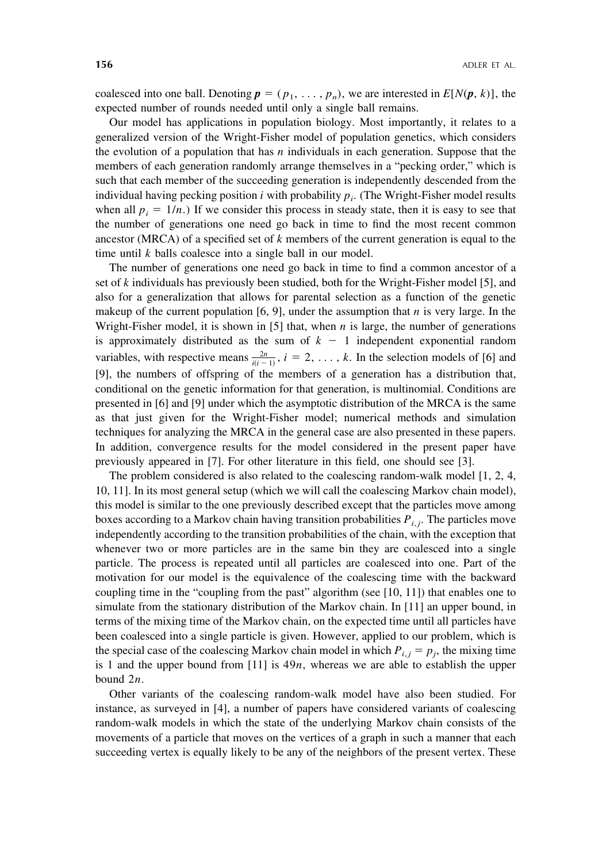coalesced into one ball. Denoting  $p = (p_1, \ldots, p_n)$ , we are interested in  $E[N(p, k)]$ , the expected number of rounds needed until only a single ball remains.

Our model has applications in population biology. Most importantly, it relates to a generalized version of the Wright-Fisher model of population genetics, which considers the evolution of a population that has *n* individuals in each generation. Suppose that the members of each generation randomly arrange themselves in a "pecking order," which is such that each member of the succeeding generation is independently descended from the individual having pecking position *i* with probability  $p_i$ . (The Wright-Fisher model results when all  $p_i = 1/n$ .) If we consider this process in steady state, then it is easy to see that the number of generations one need go back in time to find the most recent common ancestor (MRCA) of a specified set of *k* members of the current generation is equal to the time until *k* balls coalesce into a single ball in our model.

The number of generations one need go back in time to find a common ancestor of a set of *k* individuals has previously been studied, both for the Wright-Fisher model [5], and also for a generalization that allows for parental selection as a function of the genetic makeup of the current population  $[6, 9]$ , under the assumption that *n* is very large. In the Wright-Fisher model, it is shown in [5] that, when *n* is large, the number of generations is approximately distributed as the sum of  $k - 1$  independent exponential random variables, with respective means  $\frac{2n}{i(i-1)}$ ,  $i = 2, \ldots, k$ . In the selection models of [6] and [9], the numbers of offspring of the members of a generation has a distribution that, conditional on the genetic information for that generation, is multinomial. Conditions are presented in [6] and [9] under which the asymptotic distribution of the MRCA is the same as that just given for the Wright-Fisher model; numerical methods and simulation techniques for analyzing the MRCA in the general case are also presented in these papers. In addition, convergence results for the model considered in the present paper have previously appeared in [7]. For other literature in this field, one should see [3].

The problem considered is also related to the coalescing random-walk model [1, 2, 4, 10, 11]. In its most general setup (which we will call the coalescing Markov chain model), this model is similar to the one previously described except that the particles move among boxes according to a Markov chain having transition probabilities *Pi*, *<sup>j</sup>* . The particles move independently according to the transition probabilities of the chain, with the exception that whenever two or more particles are in the same bin they are coalesced into a single particle. The process is repeated until all particles are coalesced into one. Part of the motivation for our model is the equivalence of the coalescing time with the backward coupling time in the "coupling from the past" algorithm (see [10, 11]) that enables one to simulate from the stationary distribution of the Markov chain. In [11] an upper bound, in terms of the mixing time of the Markov chain, on the expected time until all particles have been coalesced into a single particle is given. However, applied to our problem, which is the special case of the coalescing Markov chain model in which  $P_{i,j} = p_j$ , the mixing time is 1 and the upper bound from [11] is 49*n*, whereas we are able to establish the upper bound 2*n*.

Other variants of the coalescing random-walk model have also been studied. For instance, as surveyed in [4], a number of papers have considered variants of coalescing random-walk models in which the state of the underlying Markov chain consists of the movements of a particle that moves on the vertices of a graph in such a manner that each succeeding vertex is equally likely to be any of the neighbors of the present vertex. These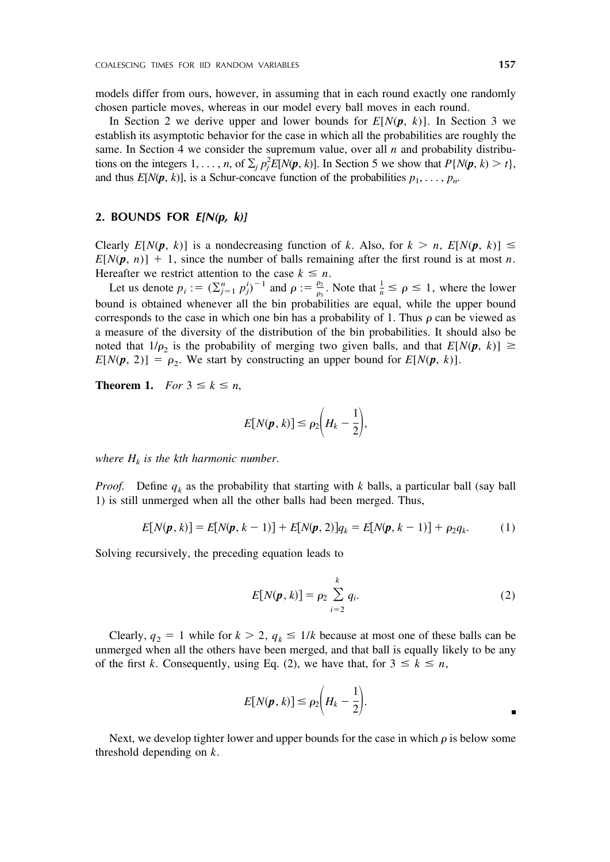models differ from ours, however, in assuming that in each round exactly one randomly chosen particle moves, whereas in our model every ball moves in each round.

In Section 2 we derive upper and lower bounds for  $E[N(p, k)]$ . In Section 3 we establish its asymptotic behavior for the case in which all the probabilities are roughly the same. In Section 4 we consider the supremum value, over all  $n$  and probability distributions on the integers  $1, \ldots, n$ , of  $\sum_j p_j^2 E[N(\pmb{p}, k)]$ . In Section 5 we show that  $P\{N(\pmb{p}, k) > t\}$ , and thus  $E[N(p, k)]$ , is a Schur-concave function of the probabilities  $p_1, \ldots, p_n$ .

## **2. BOUNDS FOR** *E[N(p, k)]*

Clearly  $E[N(p, k)]$  is a nondecreasing function of *k*. Also, for  $k > n$ ,  $E[N(p, k)] \le$  $E[N(p, n)] + 1$ , since the number of balls remaining after the first round is at most *n*. Hereafter we restrict attention to the case  $k \leq n$ .

Let us denote  $p_i := (\sum_{j=1}^n p_j^i)^{-1}$  and  $\rho := \frac{\rho_2}{\rho_3}$ . Note that  $\frac{1}{n} \le \rho \le 1$ , where the lower bound is obtained whenever all the bin probabilities are equal, while the upper bound corresponds to the case in which one bin has a probability of 1. Thus  $\rho$  can be viewed as a measure of the diversity of the distribution of the bin probabilities. It should also be noted that  $1/\rho_2$  is the probability of merging two given balls, and that  $E[N(\mathbf{p}, k)] \geq$  $E[N(\mathbf{p}, 2)] = \rho_2$ . We start by constructing an upper bound for  $E[N(\mathbf{p}, k)]$ .

**Theorem 1.** *For*  $3 \leq k \leq n$ ,

$$
E[N(\pmb{p},k)] \leq \rho_2 \bigg(H_k - \frac{1}{2}\bigg),
$$

*where*  $H_k$  *is the kth harmonic number.* 

*Proof.* Define  $q_k$  as the probability that starting with *k* balls, a particular ball (say ball 1) is still unmerged when all the other balls had been merged. Thus,

$$
E[N(\pmb{p},k)] = E[N(\pmb{p},k-1)] + E[N(\pmb{p},2)]q_k = E[N(\pmb{p},k-1)] + \rho_2 q_k.
$$
 (1)

Solving recursively, the preceding equation leads to

$$
E[N(p, k)] = \rho_2 \sum_{i=2}^{k} q_i.
$$
 (2)

Clearly,  $q_2 = 1$  while for  $k > 2$ ,  $q_k \leq 1/k$  because at most one of these balls can be unmerged when all the others have been merged, and that ball is equally likely to be any of the first *k*. Consequently, using Eq. (2), we have that, for  $3 \le k \le n$ ,

$$
E[N(\boldsymbol{p},k)] \leq \rho_2 \bigg(H_k - \frac{1}{2}\bigg).
$$

Next, we develop tighter lower and upper bounds for the case in which  $\rho$  is below some threshold depending on *k*.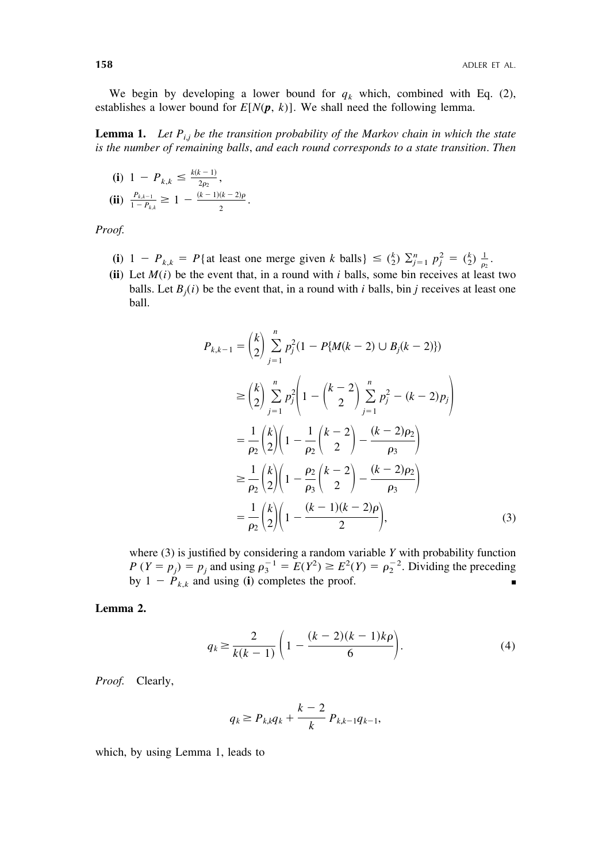We begin by developing a lower bound for  $q_k$  which, combined with Eq. (2), establishes a lower bound for  $E[N(p, k)]$ . We shall need the following lemma.

**Lemma 1.** Let  $P_{i,j}$  be the transition probability of the Markov chain in which the state *is the number of remaining balls*, *and each round corresponds to a state transition*. *Then*

(i) 
$$
1 - P_{k,k} \le \frac{k(k-1)}{2\rho_2}
$$
,  
\n(ii)  $\frac{P_{k,k-1}}{1 - P_{k,k}} \ge 1 - \frac{(k-1)(k-2)\rho}{2}$ .

*Proof.*

- **(i)**  $1 P_{k,k} = P\{\text{at least one merge given } k \text{ balls}\}\leq {k \choose 2} \sum_{j=1}^n p_j^2 = {k \choose 2} \frac{1}{p_2}.$
- (ii) Let  $M(i)$  be the event that, in a round with *i* balls, some bin receives at least two balls. Let  $B_j(i)$  be the event that, in a round with *i* balls, bin *j* receives at least one ball.

$$
P_{k,k-1} = {k \choose 2} \sum_{j=1}^{n} p_j^2 (1 - P\{M(k-2) \cup B_j(k-2)\})
$$
  
\n
$$
\geq {k \choose 2} \sum_{j=1}^{n} p_j^2 \left(1 - {k-2 \choose 2} \sum_{j=1}^{n} p_j^2 - (k-2)p_j\right)
$$
  
\n
$$
= \frac{1}{\rho_2} {k \choose 2} \left(1 - \frac{1}{\rho_2} {k-2 \choose 2} - \frac{(k-2)\rho_2}{\rho_3}\right)
$$
  
\n
$$
\geq \frac{1}{\rho_2} {k \choose 2} \left(1 - \frac{\rho_2}{\rho_3} {k-2 \choose 2} - \frac{(k-2)\rho_2}{\rho_3}\right)
$$
  
\n
$$
= \frac{1}{\rho_2} {k \choose 2} \left(1 - \frac{(k-1)(k-2)\rho}{2}\right),
$$
 (3)

where (3) is justified by considering a random variable *Y* with probability function *P* (*Y* =  $p_j$ ) =  $p_j$  and using  $\rho_3^{-1} = E(Y^2) \ge E^2(Y) = \rho_2^{-2}$ . Dividing the preceding by  $1 - P_{k,k}$  and using (**i**) completes the proof.

## **Lemma 2.**

$$
q_k \ge \frac{2}{k(k-1)} \left( 1 - \frac{(k-2)(k-1)k\rho}{6} \right).
$$
 (4)

*Proof.* Clearly,

$$
q_k \ge P_{k,k} q_k + \frac{k-2}{k} P_{k,k-1} q_{k-1},
$$

which, by using Lemma 1, leads to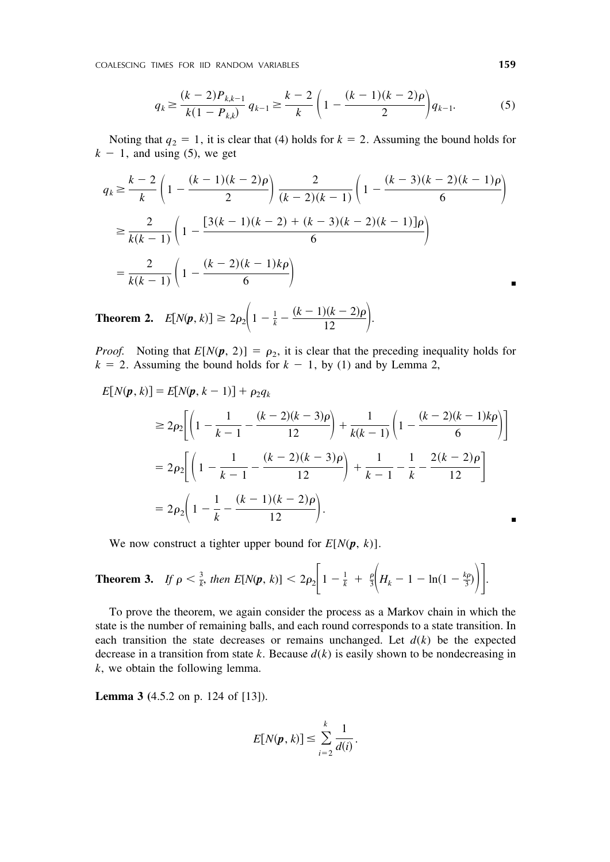COALESCING TIMES FOR IID RANDOM VARIABLES **159**

$$
q_k \ge \frac{(k-2)P_{k,k-1}}{k(1-P_{k,k})} q_{k-1} \ge \frac{k-2}{k} \left(1 - \frac{(k-1)(k-2)\rho}{2}\right) q_{k-1}.
$$
 (5)

Noting that  $q_2 = 1$ , it is clear that (4) holds for  $k = 2$ . Assuming the bound holds for  $k - 1$ , and using (5), we get

$$
q_k \ge \frac{k-2}{k} \left( 1 - \frac{(k-1)(k-2)\rho}{2} \right) \frac{2}{(k-2)(k-1)} \left( 1 - \frac{(k-3)(k-2)(k-1)\rho}{6} \right)
$$
  

$$
\ge \frac{2}{k(k-1)} \left( 1 - \frac{[3(k-1)(k-2) + (k-3)(k-2)(k-1)]\rho}{6} \right)
$$
  

$$
= \frac{2}{k(k-1)} \left( 1 - \frac{(k-2)(k-1)k\rho}{6} \right)
$$

**Theorem 2.**  $E[N(p, k)] \ge 2\rho_2 \bigg(1 - \frac{1}{k} - \frac{(k-1)(k-2)\rho}{12}\bigg).$ 

*Proof.* Noting that  $E[N(p, 2)] = \rho_2$ , it is clear that the preceding inequality holds for  $k = 2$ . Assuming the bound holds for  $k - 1$ , by (1) and by Lemma 2,

$$
E[N(\mathbf{p}, k)] = E[N(\mathbf{p}, k-1)] + \rho_2 q_k
$$
  
\n
$$
\ge 2\rho_2 \bigg[ \left( 1 - \frac{1}{k-1} - \frac{(k-2)(k-3)\rho}{12} \right) + \frac{1}{k(k-1)} \left( 1 - \frac{(k-2)(k-1)k\rho}{6} \right) \bigg]
$$
  
\n
$$
= 2\rho_2 \bigg[ \left( 1 - \frac{1}{k-1} - \frac{(k-2)(k-3)\rho}{12} \right) + \frac{1}{k-1} - \frac{1}{k} - \frac{2(k-2)\rho}{12} \bigg]
$$
  
\n
$$
= 2\rho_2 \bigg( 1 - \frac{1}{k} - \frac{(k-1)(k-2)\rho}{12} \bigg).
$$

We now construct a tighter upper bound for  $E[N(p, k)]$ .

**Theorem 3.** If 
$$
\rho < \frac{3}{k}
$$
, then  $E[N(\pmb{p}, k)] < 2\rho_2 \bigg[ 1 - \frac{1}{k} + \frac{\rho}{3} \bigg( H_k - 1 - \ln(1 - \frac{k\rho}{3}) \bigg) \bigg].$ 

To prove the theorem, we again consider the process as a Markov chain in which the state is the number of remaining balls, and each round corresponds to a state transition. In each transition the state decreases or remains unchanged. Let  $d(k)$  be the expected decrease in a transition from state  $k$ . Because  $d(k)$  is easily shown to be nondecreasing in *k*, we obtain the following lemma.

**Lemma 3 (**4.5.2 on p. 124 of [13]).

$$
E[N(\pmb{p},k)] \leq \sum_{i=2}^k \frac{1}{d(i)}.
$$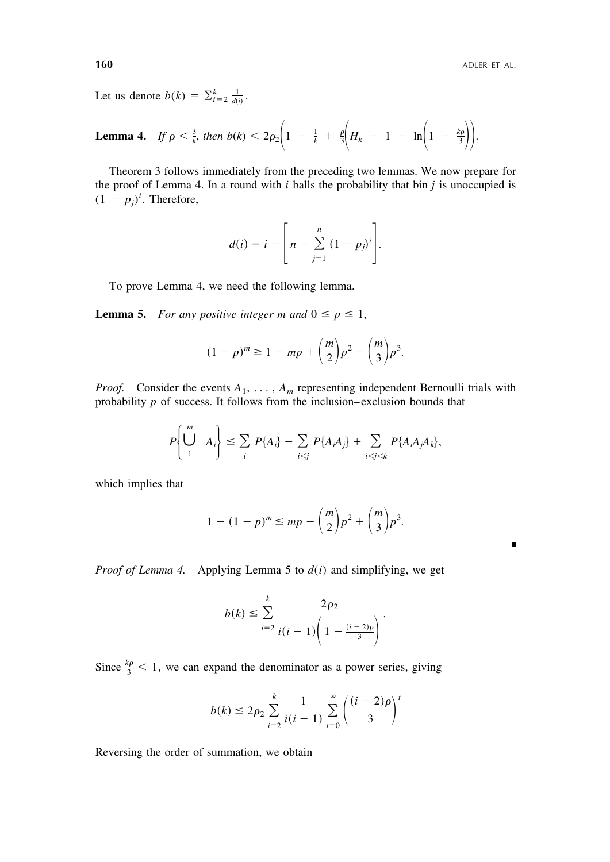■

Let us denote  $b(k) = \sum_{i=2}^{k} \frac{1}{d(i)}$ .

**Lemma 4.** If 
$$
\rho < \frac{3}{k}
$$
, then  $b(k) < 2\rho_2 \left(1 - \frac{1}{k} + \frac{\rho}{3} \left(H_k - 1 - \ln \left(1 - \frac{k\rho}{3}\right)\right)\right)$ .

Theorem 3 follows immediately from the preceding two lemmas. We now prepare for the proof of Lemma 4. In a round with *i* balls the probability that bin *j* is unoccupied is  $(1 - p_j)^i$ . Therefore,

$$
d(i) = i - \left[n - \sum_{j=1}^{n} (1-p_j)^i\right].
$$

To prove Lemma 4, we need the following lemma.

**Lemma 5.** For any positive integer m and  $0 \leq p \leq 1$ ,

$$
(1-p)^m \ge 1 - mp + \binom{m}{2}p^2 - \binom{m}{3}p^3.
$$

*Proof.* Consider the events  $A_1, \ldots, A_m$  representing independent Bernoulli trials with probability  $p$  of success. It follows from the inclusion–exclusion bounds that

$$
P\left\{\bigcup_{1}^{m} A_{i}\right\} \leq \sum_{i} P\{A_{i}\} - \sum_{i < j} P\{A_{i}A_{j}\} + \sum_{i < j < k} P\{A_{i}A_{j}A_{k}\},
$$

which implies that

$$
1 - (1 - p)^m \le mp - {m \choose 2} p^2 + {m \choose 3} p^3.
$$

*Proof of Lemma 4.* Applying Lemma 5 to  $d(i)$  and simplifying, we get

$$
b(k) \leq \sum_{i=2}^{k} \frac{2\rho_2}{i(i-1)\left(1 - \frac{(i-2)\rho}{3}\right)}.
$$

Since  $\frac{k\rho}{3}$  < 1, we can expand the denominator as a power series, giving

$$
b(k) \le 2\rho_2 \sum_{i=2}^k \frac{1}{i(i-1)} \sum_{t=0}^\infty \left(\frac{(i-2)\rho}{3}\right)^t
$$

Reversing the order of summation, we obtain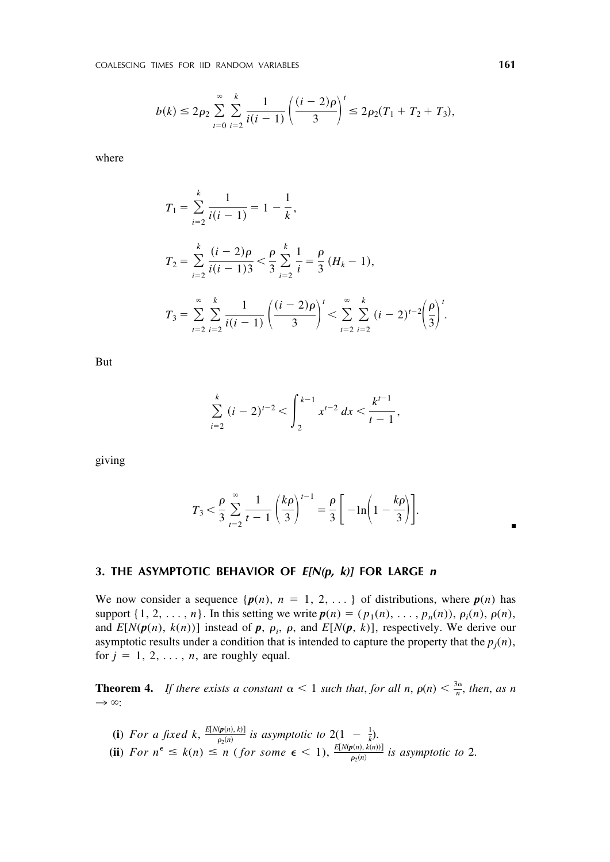$$
b(k) \le 2\rho_2 \sum_{i=0}^{\infty} \sum_{i=2}^{k} \frac{1}{i(i-1)} \left( \frac{(i-2)\rho}{3} \right)^{i} \le 2\rho_2 (T_1 + T_2 + T_3),
$$

where

$$
T_1 = \sum_{i=2}^k \frac{1}{i(i-1)} = 1 - \frac{1}{k},
$$
  
\n
$$
T_2 = \sum_{i=2}^k \frac{(i-2)\rho}{i(i-1)3} < \frac{\rho}{3} \sum_{i=2}^k \frac{1}{i} = \frac{\rho}{3} (H_k - 1),
$$
  
\n
$$
T_3 = \sum_{i=2}^\infty \sum_{i=2}^k \frac{1}{i(i-1)} \left( \frac{(i-2)\rho}{3} \right)^t < \sum_{i=2}^\infty \sum_{i=2}^k (i-2)^{i-2} \left( \frac{\rho}{3} \right)^t.
$$

But

$$
\sum_{i=2}^{k} (i-2)^{t-2} < \int_{2}^{k-1} x^{t-2} \, dx < \frac{k^{t-1}}{t-1},
$$

giving

$$
T_3 < \frac{\rho}{3} \sum_{t=2}^{\infty} \frac{1}{t-1} \left(\frac{k\rho}{3}\right)^{t-1} = \frac{\rho}{3} \left[ -\ln\left(1 - \frac{k\rho}{3}\right) \right].
$$

# **3. THE ASYMPTOTIC BEHAVIOR OF** *E[N(p, k)]* **FOR LARGE** *n*

We now consider a sequence  $\{p(n), n = 1, 2, \ldots\}$  of distributions, where  $p(n)$  has support  $\{1, 2, \ldots, n\}$ . In this setting we write  $p(n) = (p_1(n), \ldots, p_n(n)), \rho_i(n), \rho(n)$ , and  $E[N(p(n), k(n))]$  instead of  $p$ ,  $\rho_i$ ,  $\rho$ , and  $E[N(p, k)]$ , respectively. We derive our asymptotic results under a condition that is intended to capture the property that the  $p_j(n)$ , for  $j = 1, 2, \ldots, n$ , are roughly equal.

**Theorem 4.** *If there exists a constant*  $\alpha < 1$  *such that, for all n,*  $\rho(n) < \frac{3\alpha}{n}$ *, then, as n*  $\rightarrow \infty$ :

**(i)** For a fixed k,  $\frac{E[N(p(n),k)]}{p_2(n)}$  is asymptotic to  $2(1 - \frac{1}{k})$ . **(ii**) For  $n^{\epsilon} \leq k(n) \leq n$  (for some  $\epsilon < 1$ ),  $\frac{E[N(p(n), k(n))]}{p_2(n)}$  is asymptotic to 2. ■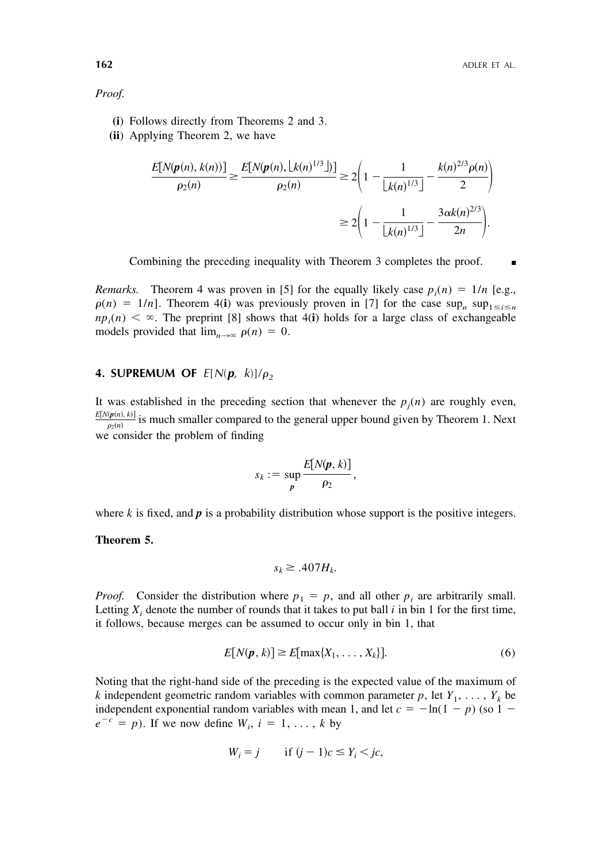*Proof.*

- **(i**) Follows directly from Theorems 2 and 3.
- **(ii**) Applying Theorem 2, we have

$$
\frac{E[N(\mathbf{p}(n), k(n))]}{\rho_2(n)} \ge \frac{E[N(\mathbf{p}(n), \lfloor k(n)^{1/3} \rfloor)]}{\rho_2(n)} \ge 2\left(1 - \frac{1}{\lfloor k(n)^{1/3} \rfloor} - \frac{k(n)^{2/3}\rho(n)}{2}\right)
$$

$$
\ge 2\left(1 - \frac{1}{\lfloor k(n)^{1/3} \rfloor} - \frac{3\alpha k(n)^{2/3}}{2n}\right).
$$

Combining the preceding inequality with Theorem 3 completes the proof.

*Remarks.* Theorem 4 was proven in [5] for the equally likely case  $p_i(n) = 1/n$  [e.g.,  $\rho(n) = 1/n$ . Theorem 4(**i**) was previously proven in [7] for the case sup<sub>*n*</sub> sup<sub>1 = *i*=*n*</sub>  $np_i(n) < \infty$ . The preprint [8] shows that 4(**i**) holds for a large class of exchangeable models provided that  $\lim_{n\to\infty} \rho(n) = 0$ .

# **4. SUPREMUM OF**  $E[N(\boldsymbol{p}, k)]/\rho_2$

It was established in the preceding section that whenever the  $p_j(n)$  are roughly even,  $\frac{E[N(p(n),k)]}{p_2(n)}$  is much smaller compared to the general upper bound given by Theorem 1. Next we consider the problem of finding

$$
s_k := \sup_{\boldsymbol{p}} \frac{E[N(\boldsymbol{p},k)]}{\rho_2},
$$

where  $k$  is fixed, and  $p$  is a probability distribution whose support is the positive integers.

**Theorem 5.**

$$
s_k \ge .407 H_k.
$$

*Proof.* Consider the distribution where  $p_1 = p$ , and all other  $p_i$  are arbitrarily small. Letting  $X_i$  denote the number of rounds that it takes to put ball  $i$  in bin 1 for the first time, it follows, because merges can be assumed to occur only in bin 1, that

$$
E[N(\boldsymbol{p},k)] \ge E[\max\{X_1,\ldots,X_k\}].
$$
\n(6)

Noting that the right-hand side of the preceding is the expected value of the maximum of *k* independent geometric random variables with common parameter  $p$ , let  $Y_1, \ldots, Y_k$  be independent exponential random variables with mean 1, and let  $c = -\ln(1 - p)$  (so 1 –  $e^{-c} = p$ ). If we now define  $W_i$ ,  $i = 1, \ldots, k$  by

$$
W_i = j \qquad \text{if } (j-1)c \le Y_i < jc,
$$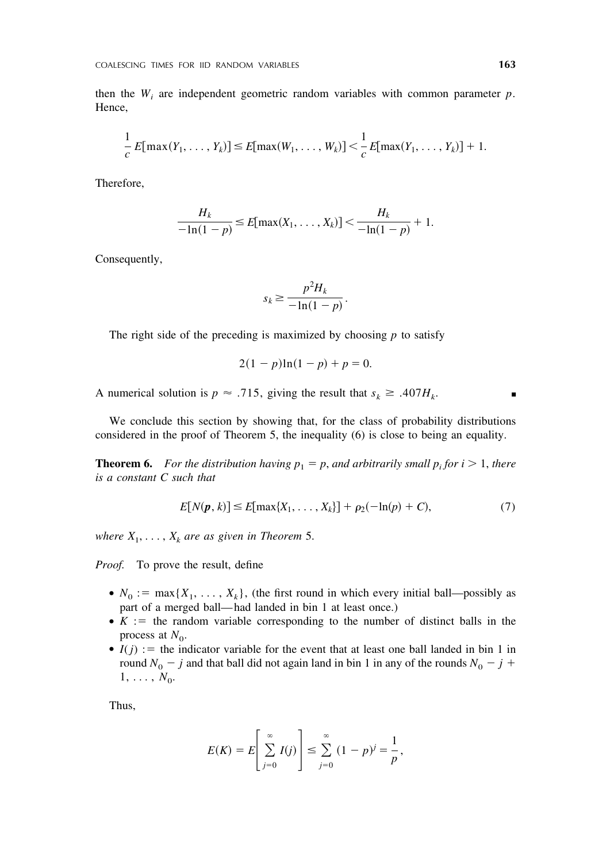then the  $W_i$  are independent geometric random variables with common parameter  $p$ . Hence,

$$
\frac{1}{c} E[\max(Y_1,\ldots,Y_k)] \leq E[\max(W_1,\ldots,W_k)] < \frac{1}{c} E[\max(Y_1,\ldots,Y_k)] + 1.
$$

Therefore,

$$
\frac{H_k}{-\ln(1-p)} \le E[\max(X_1,\ldots,X_k)] < \frac{H_k}{-\ln(1-p)} + 1.
$$

Consequently,

$$
s_k \ge \frac{p^2 H_k}{-\ln(1-p)}.
$$

The right side of the preceding is maximized by choosing  $p$  to satisfy

$$
2(1 - p)\ln(1 - p) + p = 0.
$$

A numerical solution is  $p \approx .715$ , giving the result that  $s_k \ge .407H_k$ .

We conclude this section by showing that, for the class of probability distributions considered in the proof of Theorem 5, the inequality (6) is close to being an equality.

**Theorem 6.** For the distribution having  $p_1 = p$ , and arbitrarily small  $p_i$  for  $i > 1$ , there *is a constant C such that*

$$
E[N(p, k)] \le E[\max\{X_1, \dots, X_k\}] + \rho_2(-\ln(p) + C),
$$
\n(7)

*where*  $X_1, \ldots, X_k$  *are as given in Theorem* 5.

*Proof.* To prove the result, define

- $N_0 := \max\{X_1, \ldots, X_k\}$ , (the first round in which every initial ball—possibly as part of a merged ball— had landed in bin 1 at least once.)
- $\bullet$  *K* : the random variable corresponding to the number of distinct balls in the process at  $N_0$ .
- $\bullet$  *I( j)* : the indicator variable for the event that at least one ball landed in bin 1 in round  $N_0$  – *j* and that ball did not again land in bin 1 in any of the rounds  $N_0$  – *j* +  $1, \ldots, N_0.$

Thus,

$$
E(K) = E\left[\sum_{j=0}^{\infty} I(j)\right] \le \sum_{j=0}^{\infty} (1-p)^{j} = \frac{1}{p},
$$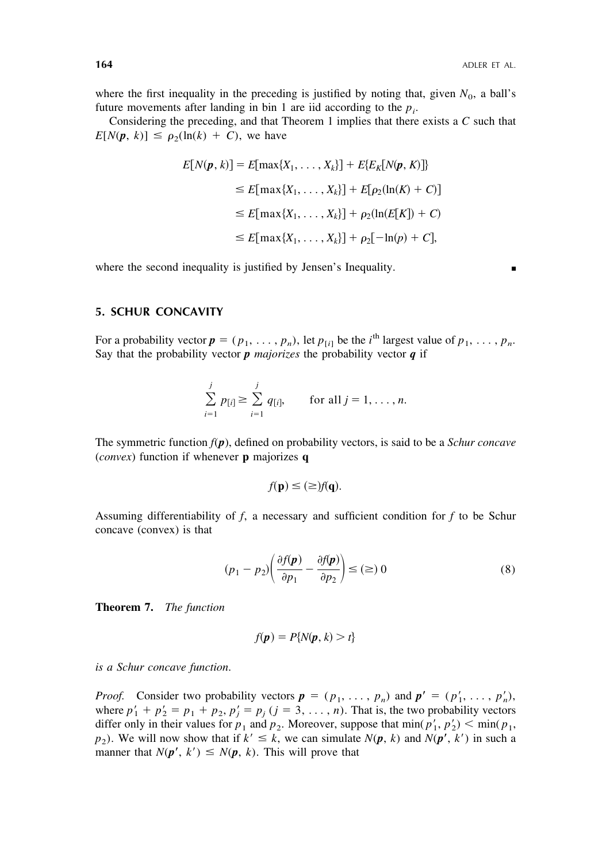where the first inequality in the preceding is justified by noting that, given  $N_0$ , a ball's future movements after landing in bin 1 are iid according to the  $p_i$ .

Considering the preceding, and that Theorem 1 implies that there exists a *C* such that  $E[N(\mathbf{p}, k)] \leq \rho_2(\ln(k) + C)$ , we have

$$
E[N(\pmb{p},k)] = E[\max\{X_1, \dots, X_k\}] + E\{E_K[N(\pmb{p},K)]\}
$$
  
\n
$$
\leq E[\max\{X_1, \dots, X_k\}] + E[\rho_2(\ln(K) + C)]
$$
  
\n
$$
\leq E[\max\{X_1, \dots, X_k\}] + \rho_2(\ln(E[K]) + C)
$$
  
\n
$$
\leq E[\max\{X_1, \dots, X_k\}] + \rho_2[-\ln(p) + C],
$$

where the second inequality is justified by Jensen's Inequality.

#### **5. SCHUR CONCAVITY**

For a probability vector  $p = (p_1, \ldots, p_n)$ , let  $p_{[i]}$  be the *i*<sup>th</sup> largest value of  $p_1, \ldots, p_n$ . Say that the probability vector  $p$  *majorizes* the probability vector  $q$  if

$$
\sum_{i=1}^{j} p_{[i]} \geq \sum_{i=1}^{j} q_{[i]}, \quad \text{for all } j = 1, \ldots, n.
$$

The symmetric function *f*(*p*), defined on probability vectors, is said to be a *Schur concave* (*convex*) function if whenever **p** majorizes **q**

$$
f(\mathbf{p}) \leq (\geq) f(\mathbf{q}).
$$

Assuming differentiability of *f*, a necessary and sufficient condition for *f* to be Schur concave (convex) is that

$$
(p_1 - p_2) \left( \frac{\partial f(\mathbf{p})}{\partial p_1} - \frac{\partial f(\mathbf{p})}{\partial p_2} \right) \le (\ge) 0 \tag{8}
$$

**Theorem 7.** *The function*

$$
f(\boldsymbol{p}) = P\{N(\boldsymbol{p},k) > t\}
$$

*is a Schur concave function*.

*Proof.* Consider two probability vectors  $p = (p_1, \ldots, p_n)$  and  $p' = (p'_1, \ldots, p'_n)$ , where  $p'_1 + p'_2 = p_1 + p_2$ ,  $p'_j = p_j$  ( $j = 3, \ldots, n$ ). That is, the two probability vectors differ only in their values for  $p_1$  and  $p_2$ . Moreover, suppose that  $\min(p'_1, p'_2)$  <  $\min(p_1,$  $p_2$ ). We will now show that if  $k' \leq k$ , we can simulate  $N(p, k)$  and  $N(p', k')$  in such a manner that  $N(p', k') \leq N(p, k)$ . This will prove that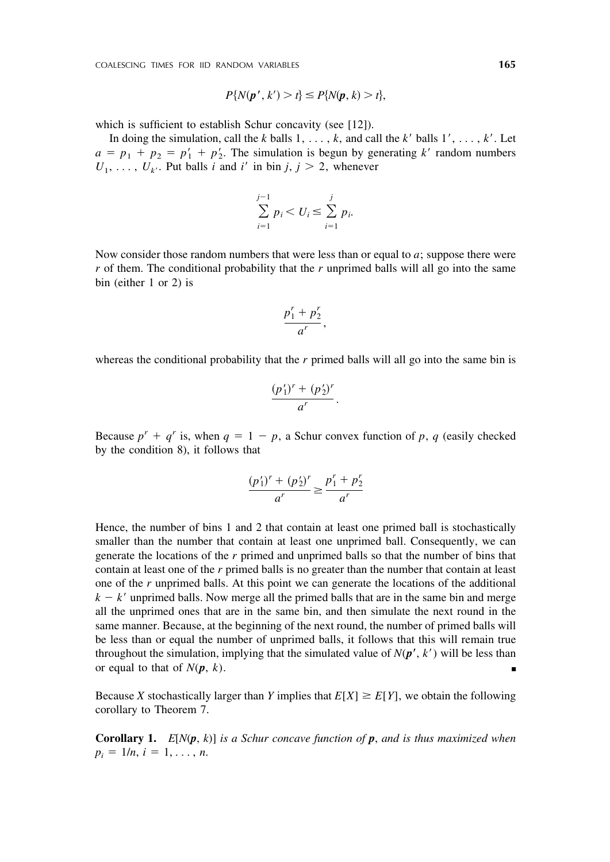$$
P\{N(\boldsymbol{p}',k') > t\} \leq P\{N(\boldsymbol{p},k) > t\},
$$

which is sufficient to establish Schur concavity (see [12]).

In doing the simulation, call the *k* balls  $1, \ldots, k$ , and call the *k'* balls  $1', \ldots, k'$ . Let  $a = p_1 + p_2 = p'_1 + p'_2$ . The simulation is begun by generating *k* random numbers  $U_1, \ldots, U_{k'}$ . Put balls *i* and *i'* in bin *j*, *j* > 2, whenever

$$
\sum_{i=1}^{j-1} p_i < U_i \le \sum_{i=1}^{j} p_i.
$$

Now consider those random numbers that were less than or equal to *a*; suppose there were *r* of them. The conditional probability that the *r* unprimed balls will all go into the same bin (either 1 or 2) is

$$
\frac{p_1^r + p_2^r}{a^r},
$$

whereas the conditional probability that the *r* primed balls will all go into the same bin is

$$
\frac{(p_1')^r + (p_2')^r}{a^r}.
$$

Because  $p^r + q^r$  is, when  $q = 1 - p$ , a Schur convex function of p, q (easily checked by the condition 8), it follows that

$$
\frac{(p'_1)^r + (p'_2)^r}{a^r} \ge \frac{p'_1 + p'_2}{a^r}
$$

Hence, the number of bins 1 and 2 that contain at least one primed ball is stochastically smaller than the number that contain at least one unprimed ball. Consequently, we can generate the locations of the *r* primed and unprimed balls so that the number of bins that contain at least one of the *r* primed balls is no greater than the number that contain at least one of the *r* unprimed balls. At this point we can generate the locations of the additional  $k - k'$  unprimed balls. Now merge all the primed balls that are in the same bin and merge all the unprimed ones that are in the same bin, and then simulate the next round in the same manner. Because, at the beginning of the next round, the number of primed balls will be less than or equal the number of unprimed balls, it follows that this will remain true throughout the simulation, implying that the simulated value of  $N(p', k')$  will be less than or equal to that of  $N(p, k)$ .

Because *X* stochastically larger than *Y* implies that  $E[X] \ge E[Y]$ , we obtain the following corollary to Theorem 7.

**Corollary 1.** *E*[*N*(*p*, *k*)] *is a Schur concave function of p*, *and is thus maximized when*  $p_i = 1/n, i = 1, \ldots, n.$